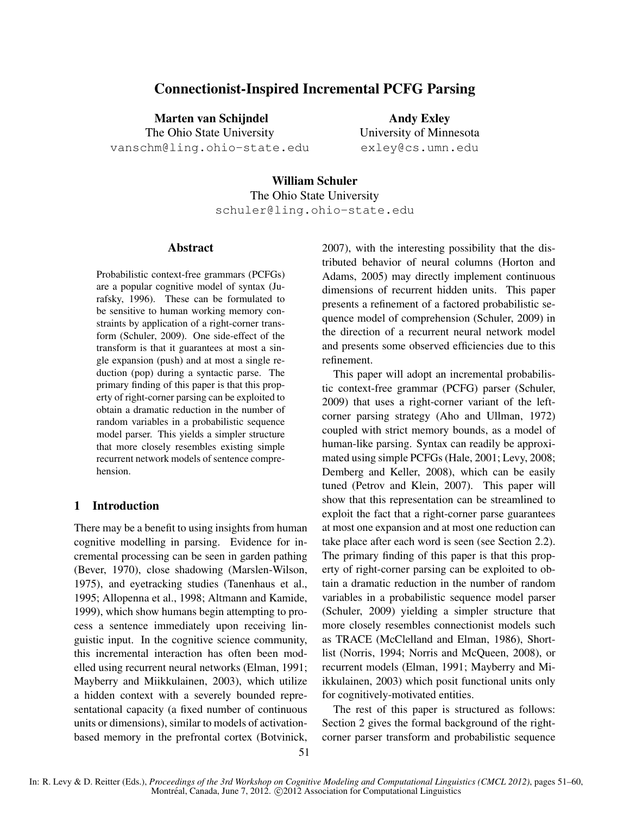# **Connectionist-Inspired Incremental PCFG Parsing**

**Marten van Schijndel** The Ohio State University vanschm@ling.ohio-state.edu

**Andy Exley** University of Minnesota exley@cs.umn.edu

**William Schuler** The Ohio State University schuler@ling.ohio-state.edu

### **Abstract**

Probabilistic context-free grammars (PCFGs) are a popular cognitive model of syntax (Jurafsky, 1996). These can be formulated to be sensitive to human working memory constraints by application of a right-corner transform (Schuler, 2009). One side-effect of the transform is that it guarantees at most a single expansion (push) and at most a single reduction (pop) during a syntactic parse. The primary finding of this paper is that this property of right-corner parsing can be exploited to obtain a dramatic reduction in the number of random variables in a probabilistic sequence model parser. This yields a simpler structure that more closely resembles existing simple recurrent network models of sentence comprehension.

## **1 Introduction**

There may be a benefit to using insights from human cognitive modelling in parsing. Evidence for incremental processing can be seen in garden pathing (Bever, 1970), close shadowing (Marslen-Wilson, 1975), and eyetracking studies (Tanenhaus et al., 1995; Allopenna et al., 1998; Altmann and Kamide, 1999), which show humans begin attempting to process a sentence immediately upon receiving linguistic input. In the cognitive science community, this incremental interaction has often been modelled using recurrent neural networks (Elman, 1991; Mayberry and Miikkulainen, 2003), which utilize a hidden context with a severely bounded representational capacity (a fixed number of continuous units or dimensions), similar to models of activationbased memory in the prefrontal cortex (Botvinick, 2007), with the interesting possibility that the distributed behavior of neural columns (Horton and Adams, 2005) may directly implement continuous dimensions of recurrent hidden units. This paper presents a refinement of a factored probabilistic sequence model of comprehension (Schuler, 2009) in the direction of a recurrent neural network model and presents some observed efficiencies due to this refinement.

This paper will adopt an incremental probabilistic context-free grammar (PCFG) parser (Schuler, 2009) that uses a right-corner variant of the leftcorner parsing strategy (Aho and Ullman, 1972) coupled with strict memory bounds, as a model of human-like parsing. Syntax can readily be approximated using simple PCFGs (Hale, 2001; Levy, 2008; Demberg and Keller, 2008), which can be easily tuned (Petrov and Klein, 2007). This paper will show that this representation can be streamlined to exploit the fact that a right-corner parse guarantees at most one expansion and at most one reduction can take place after each word is seen (see Section 2.2). The primary finding of this paper is that this property of right-corner parsing can be exploited to obtain a dramatic reduction in the number of random variables in a probabilistic sequence model parser (Schuler, 2009) yielding a simpler structure that more closely resembles connectionist models such as TRACE (McClelland and Elman, 1986), Shortlist (Norris, 1994; Norris and McQueen, 2008), or recurrent models (Elman, 1991; Mayberry and Miikkulainen, 2003) which posit functional units only for cognitively-motivated entities.

The rest of this paper is structured as follows: Section 2 gives the formal background of the rightcorner parser transform and probabilistic sequence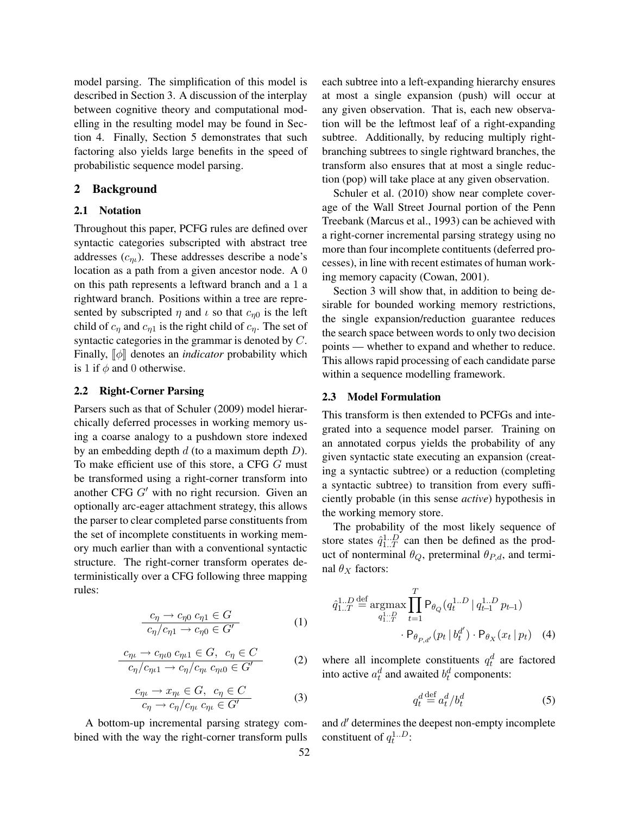model parsing. The simplification of this model is described in Section 3. A discussion of the interplay between cognitive theory and computational modelling in the resulting model may be found in Section 4. Finally, Section 5 demonstrates that such factoring also yields large benefits in the speed of probabilistic sequence model parsing.

### **2 Background**

#### **2.1 Notation**

Throughout this paper, PCFG rules are defined over syntactic categories subscripted with abstract tree addresses  $(c_{n_l})$ . These addresses describe a node's location as a path from a given ancestor node. A 0 on this path represents a leftward branch and a 1 a rightward branch. Positions within a tree are represented by subscripted  $\eta$  and  $\iota$  so that  $c_{\eta0}$  is the left child of  $c_{\eta}$  and  $c_{\eta}$  is the right child of  $c_{\eta}$ . The set of syntactic categories in the grammar is denoted by C. Finally,  $\llbracket \phi \rrbracket$  denotes an *indicator* probability which is 1 if  $\phi$  and 0 otherwise.

### **2.2 Right-Corner Parsing**

Parsers such as that of Schuler (2009) model hierarchically deferred processes in working memory using a coarse analogy to a pushdown store indexed by an embedding depth  $d$  (to a maximum depth  $D$ ). To make efficient use of this store, a CFG G must be transformed using a right-corner transform into another CFG  $G'$  with no right recursion. Given an optionally arc-eager attachment strategy, this allows the parser to clear completed parse constituents from the set of incomplete constituents in working memory much earlier than with a conventional syntactic structure. The right-corner transform operates deterministically over a CFG following three mapping rules:

$$
\frac{c_{\eta} \to c_{\eta 0} c_{\eta 1} \in G}{c_{\eta}/c_{\eta 1} \to c_{\eta 0} \in G'} \tag{1}
$$

$$
\frac{c_{\eta\iota} \to c_{\eta\iota 0} c_{\eta\iota 1} \in G, \ c_{\eta} \in C}{c_{\eta}/c_{\eta\iota 1} \to c_{\eta}/c_{\eta\iota} c_{\eta\iota 0} \in G'} \tag{2}
$$

$$
\frac{c_{\eta\iota} \to x_{\eta\iota} \in G, \ c_{\eta} \in C}{c_{\eta} \to c_{\eta}/c_{\eta\iota} \ c_{\eta\iota} \in G'}
$$
\n(3)

A bottom-up incremental parsing strategy combined with the way the right-corner transform pulls each subtree into a left-expanding hierarchy ensures at most a single expansion (push) will occur at any given observation. That is, each new observation will be the leftmost leaf of a right-expanding subtree. Additionally, by reducing multiply rightbranching subtrees to single rightward branches, the transform also ensures that at most a single reduction (pop) will take place at any given observation.

Schuler et al. (2010) show near complete coverage of the Wall Street Journal portion of the Penn Treebank (Marcus et al., 1993) can be achieved with a right-corner incremental parsing strategy using no more than four incomplete contituents (deferred processes), in line with recent estimates of human working memory capacity (Cowan, 2001).

Section 3 will show that, in addition to being desirable for bounded working memory restrictions, the single expansion/reduction guarantee reduces the search space between words to only two decision points — whether to expand and whether to reduce. This allows rapid processing of each candidate parse within a sequence modelling framework.

#### **2.3 Model Formulation**

This transform is then extended to PCFGs and integrated into a sequence model parser. Training on an annotated corpus yields the probability of any given syntactic state executing an expansion (creating a syntactic subtree) or a reduction (completing a syntactic subtree) to transition from every sufficiently probable (in this sense *active*) hypothesis in the working memory store.

The probability of the most likely sequence of store states  $\hat{q}_{1..T}^{1..D}$  can then be defined as the product of nonterminal  $\theta_Q$ , preterminal  $\theta_{P,d}$ , and terminal  $\theta_X$  factors:

$$
\hat{q}_{1..T}^{1..D} \stackrel{\text{def}}{=} \operatorname*{argmax}_{q_{1..T}^{1..D}} \prod_{t=1}^{T} \mathsf{P}_{\theta_Q}(q_t^{1..D} \mid q_{t-1}^{1..D} p_{t-1})
$$

$$
\cdot \mathsf{P}_{\theta_{P,d'}}(p_t \mid b_t^{d'}) \cdot \mathsf{P}_{\theta_X}(x_t \mid p_t) \quad (4)
$$

where all incomplete constituents  $q_t^d$  are factored into active  $a_t^d$  and awaited  $b_t^d$  components:

$$
q_t^d \stackrel{\text{def}}{=} a_t^d / b_t^d \tag{5}
$$

and d' determines the deepest non-empty incomplete constituent of  $q_t^{1...D}$ :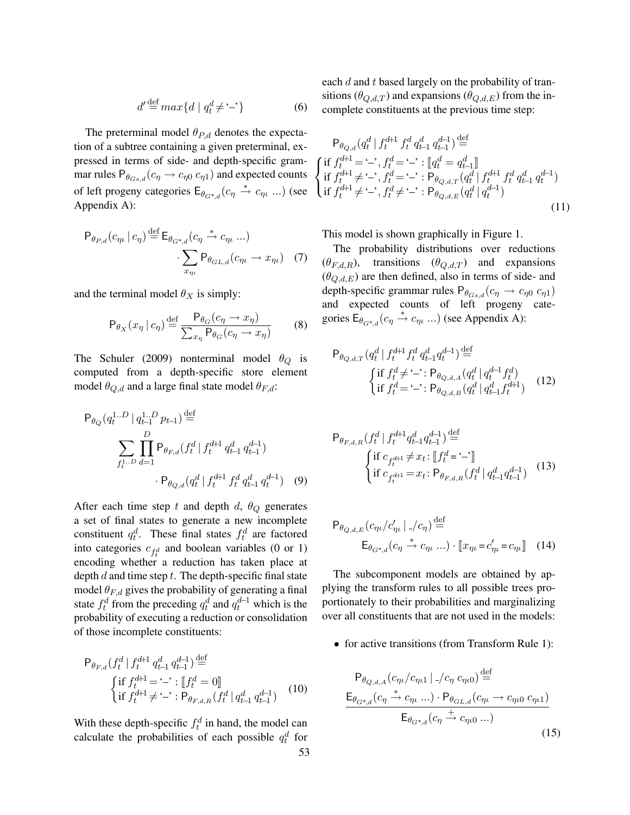$$
d' \stackrel{\text{def}}{=} \max\{d \mid q_t^d \neq -\text{'}\}\tag{6}
$$

The preterminal model  $\theta_{P,d}$  denotes the expectation of a subtree containing a given preterminal, expressed in terms of side- and depth-specific grammar rules  $P_{\theta_{Gs,d}}(c_{\eta} \rightarrow c_{\eta 0} c_{\eta 1})$  and expected counts  $\left\{\right\}$ of left progeny categories  $E_{\theta_{G^*,d}}(c_\eta \stackrel{*}{\to} c_{\eta\iota} ...)$  (see Appendix A):

$$
\mathsf{P}_{\theta_{P,d}}(c_{\eta\iota} \mid c_{\eta}) \stackrel{\text{def}}{=} \mathsf{E}_{\theta_{G^*,d}}(c_{\eta} \stackrel{*}{\to} c_{\eta\iota} \dots) \cdot \sum_{x_{\eta\iota}} \mathsf{P}_{\theta_{GL,d}}(c_{\eta\iota} \to x_{\eta\iota}) \quad (7)
$$

and the terminal model  $\theta_X$  is simply:

$$
\mathsf{P}_{\theta_X}(x_\eta \mid c_\eta) \stackrel{\text{def}}{=} \frac{\mathsf{P}_{\theta_G}(c_\eta \to x_\eta)}{\sum_{x_\eta} \mathsf{P}_{\theta_G}(c_\eta \to x_\eta)}\tag{8}
$$

The Schuler (2009) nonterminal model  $\theta_Q$  is computed from a depth-specific store element model  $\theta_{Q,d}$  and a large final state model  $\theta_{F,d}$ :

$$
\mathsf{P}_{\theta_Q}(q_t^{1..D} \mid q_{t-1}^{1..D} p_{t-1}) \stackrel{\text{def}}{=} \sum_{f_t^{1..D}} \prod_{d=1}^D \mathsf{P}_{\theta_{F,d}}(f_t^d \mid f_t^{d+1} q_{t-1}^d q_{t-1}^{d-1}) \cdot \mathsf{P}_{\theta_{Q,d}}(q_t^d \mid f_t^{d+1} f_t^d q_{t-1}^d q_t^{d-1}) \quad (9)
$$

After each time step t and depth d,  $\theta_Q$  generates a set of final states to generate a new incomplete constituent  $q_t^d$ . These final states  $f_t^d$  are factored into categories  $c_{f_t^d}$  and boolean variables (0 or 1) encoding whether a reduction has taken place at depth  $d$  and time step  $t$ . The depth-specific final state model  $\theta_{F,d}$  gives the probability of generating a final state  $f_t^d$  from the preceding  $q_t^d$  and  $q_t^{d-1}$  which is the probability of executing a reduction or consolidation of those incomplete constituents:

$$
\mathsf{P}_{\theta_{F,d}}(f_t^d | f_t^{d+1} q_{t-1}^d q_{t-1}^{d-1}) \stackrel{\text{def}}{=} \{\n\begin{cases}\n\text{if } f_t^{d+1} = -\cdot : \llbracket f_t^d = 0 \rrbracket \\
\text{if } f_t^{d+1} \neq -\cdot : \mathsf{P}_{\theta_{F,d,R}}(f_t^d | q_{t-1}^d q_{t-1}^{d-1})\n\end{cases}\n\tag{10}
$$

With these depth-specific  $f_t^d$  in hand, the model can calculate the probabilities of each possible  $q_t^d$  for each d and t based largely on the probability of transitions ( $\theta_{Q,d,T}$ ) and expansions ( $\theta_{Q,d,E}$ ) from the incomplete constituents at the previous time step:

$$
\mathsf{P}_{\theta_{Q,d}}(q_t^d \mid f_t^{d+1} f_t^d q_{t-1}^d q_{t-1}^{d-1}) \stackrel{\text{def}}{=} \left\{ \begin{aligned} &\text{if } f_t^{d+1} = \langle - \rangle, f_t^d = \langle - \rangle : [q_t^d = q_{t-1}^d] \\ &\text{if } f_t^{d+1} \neq \langle - \rangle, f_t^d = \langle - \rangle : \mathsf{P}_{\theta_{Q,d,T}}(q_t^d \mid f_t^{d+1} f_t^d q_{t-1}^d q_t^{d-1}) \\ &\text{if } f_t^{d+1} \neq \langle - \rangle, f_t^d \neq \langle - \rangle : \mathsf{P}_{\theta_{Q,d,E}}(q_t^d \mid q_t^{d-1}) \end{aligned} \right\} \tag{11}
$$

This model is shown graphically in Figure 1.

The probability distributions over reductions  $(\theta_{F,d,R})$ , transitions  $(\theta_{Q,d,T})$  and expansions  $(\theta_{Q,d,E})$  are then defined, also in terms of side- and depth-specific grammar rules  $P_{\theta_{Gs,d}}(c_{\eta} \to c_{\eta 0} c_{\eta 1})$ and expected counts of left progeny categories  $E_{\theta_{G^*,d}}(c_{\eta} \stackrel{*}{\rightarrow} c_{\eta_l} ...)$  (see Appendix A):

$$
\mathsf{P}_{\theta_{Q,d,T}}(q_t^d \mid f_t^{d+1} f_t^d q_{t-1}^d q_t^{d-1}) \stackrel{\text{def}}{=} \{\n\begin{cases}\n\text{if } f_t^d \neq -\cdot : \mathsf{P}_{\theta_{Q,d,A}}(q_t^d \mid q_t^{d-1} f_t^d) \\
\text{if } f_t^d = -\cdot : \mathsf{P}_{\theta_{Q,d,B}}(q_t^d \mid q_{t-1}^d f_t^{d+1})\n\end{cases}\n\tag{12}
$$

$$
\mathsf{P}_{\theta_{F,d,R}}(f_t^d \mid f_t^{d+1} q_{t-1}^d q_{t-1}^{d-1}) \stackrel{\text{def}}{=} \left\{ \begin{aligned} &\text{if } c_{f_t^{d+1}} \neq x_t : \llbracket f_t^d = - \rrbracket \\ &\text{if } c_{f_t^{d+1}} = x_t : \mathsf{P}_{\theta_{F,d,R}}(f_t^d \mid q_{t-1}^d q_{t-1}^{d-1}) \end{aligned} \right. (13)
$$

$$
\mathsf{P}_{\theta_{Q,d,E}}(c_{\eta_{L}}/c'_{\eta_{L}} \mid \mathcal{L}_{\eta_{1}}) \stackrel{\text{def}}{=} \mathsf{E}_{\theta_{G^*,d}}(c_{\eta} \stackrel{*}{\to} c_{\eta_{L}} \dots) \cdot \llbracket x_{\eta_{L}} = c'_{\eta_{L}} = c_{\eta_{L}} \rrbracket \quad (14)
$$

The subcomponent models are obtained by applying the transform rules to all possible trees proportionately to their probabilities and marginalizing over all constituents that are not used in the models:

• for active transitions (from Transform Rule 1):

$$
P_{\theta_{Q,d,A}}(c_{\eta\iota}/c_{\eta\iota 1}|_{-}/c_{\eta} c_{\eta\iota 0}) \stackrel{\text{def}}{=} \frac{E_{\theta_{G^*,d}}(c_{\eta} \stackrel{*}{\to} c_{\eta\iota} ...) \cdot P_{\theta_{GL,d}}(c_{\eta\iota} \to c_{\eta\iota 0} c_{\eta\iota 1})}{E_{\theta_{G^*,d}}(c_{\eta} \stackrel{*}{\to} c_{\eta\iota 0} ...)} \tag{15}
$$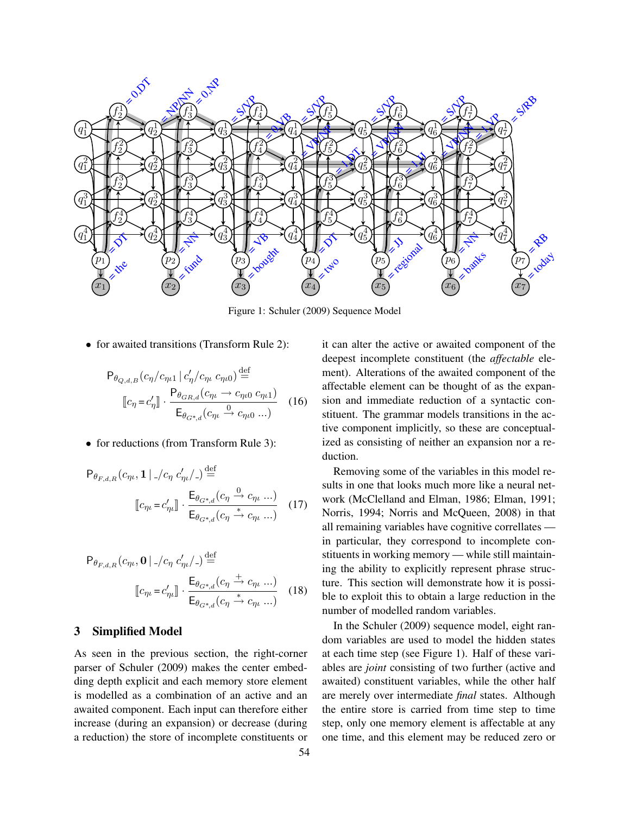

Figure 1: Schuler (2009) Sequence Model

• for awaited transitions (Transform Rule 2):

$$
P_{\theta_{Q,d,B}}(c_{\eta}/c_{\eta\iota 1} | c'_{\eta}/c_{\eta\iota} c_{\eta\iota 0}) \stackrel{\text{def}}{=} \left[ c_{\eta} = c'_{\eta} \right] \cdot \frac{P_{\theta_{GR,d}}(c_{\eta\iota} \to c_{\eta\iota 0} c_{\eta\iota 1})}{E_{\theta_{G^*,d}}(c_{\eta\iota} \to c_{\eta\iota 0} \dots)} \quad (16)
$$

• for reductions (from Transform Rule 3):

$$
P_{\theta_{F,d,R}}(c_{\eta_L}, \mathbf{1} \mid \frac{1}{c_{\eta_L}}) \stackrel{\text{def}}{=} \left[ c_{\eta_L} = c'_{\eta_L} \right] \cdot \frac{E_{\theta_{G^*,d}}(c_{\eta} \stackrel{0}{\to} c_{\eta_L} \dots)}{E_{\theta_{G^*,d}}(c_{\eta} \stackrel{0}{\to} c_{\eta_L} \dots)} \tag{17}
$$

$$
P_{\theta_{F,d,R}}(c_{\eta\iota}, \mathbf{0} \mid \frac{1}{c_{\eta}} \cdot c'_{\eta\iota}/\frac{\cdot}{\varepsilon}) \stackrel{\text{def}}{=} \left[ c_{\eta\iota} = c'_{\eta\iota} \right] \cdot \frac{\mathsf{E}_{\theta_{G^*,d}}(c_{\eta} \stackrel{+}{\rightarrow} c_{\eta\iota} \dots)}{\mathsf{E}_{\theta_{G^*,d}}(c_{\eta} \stackrel{+}{\rightarrow} c_{\eta\iota} \dots)} \tag{18}
$$

# **3 Simplified Model**

As seen in the previous section, the right-corner parser of Schuler (2009) makes the center embedding depth explicit and each memory store element is modelled as a combination of an active and an awaited component. Each input can therefore either increase (during an expansion) or decrease (during a reduction) the store of incomplete constituents or it can alter the active or awaited component of the deepest incomplete constituent (the *affectable* element). Alterations of the awaited component of the affectable element can be thought of as the expansion and immediate reduction of a syntactic constituent. The grammar models transitions in the active component implicitly, so these are conceptualized as consisting of neither an expansion nor a reduction.

Removing some of the variables in this model results in one that looks much more like a neural network (McClelland and Elman, 1986; Elman, 1991; Norris, 1994; Norris and McQueen, 2008) in that all remaining variables have cognitive correllates in particular, they correspond to incomplete constituents in working memory — while still maintaining the ability to explicitly represent phrase structure. This section will demonstrate how it is possible to exploit this to obtain a large reduction in the number of modelled random variables.

In the Schuler (2009) sequence model, eight random variables are used to model the hidden states at each time step (see Figure 1). Half of these variables are *joint* consisting of two further (active and awaited) constituent variables, while the other half are merely over intermediate *final* states. Although the entire store is carried from time step to time step, only one memory element is affectable at any one time, and this element may be reduced zero or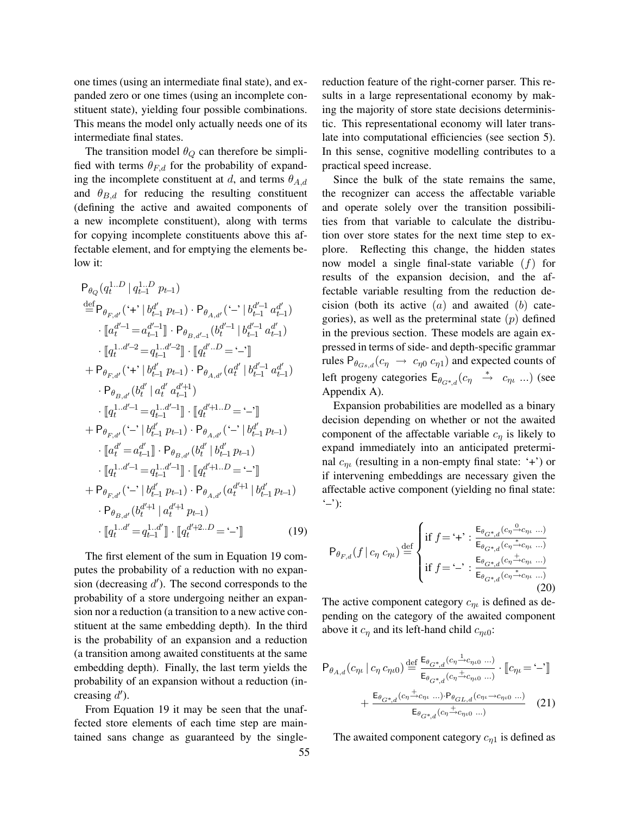one times (using an intermediate final state), and expanded zero or one times (using an incomplete constituent state), yielding four possible combinations. This means the model only actually needs one of its intermediate final states.

The transition model  $\theta_Q$  can therefore be simplified with terms  $\theta_{F,d}$  for the probability of expanding the incomplete constituent at d, and terms  $\theta_{A,d}$ and  $\theta_{B,d}$  for reducing the resulting constituent (defining the active and awaited components of a new incomplete constituent), along with terms for copying incomplete constituents above this affectable element, and for emptying the elements below it:

$$
P_{\theta_{Q}}(q_{t}^{1...D} | q_{t-1}^{1...D} p_{t-1})
$$
\n
$$
\stackrel{\text{def}}{=} P_{\theta_{F,d'}}(\cdot +' | b_{t-1}^{d'} p_{t-1}) \cdot P_{\theta_{A,d'}}(\cdot -' | b_{t-1}^{d'-1} a_{t-1}^{d'})
$$
\n
$$
\cdot [a_{t}^{d'-1} = a_{t-1}^{d'-1}] \cdot P_{\theta_{B,d'-1}}(b_{t}^{d'-1} | b_{t-1}^{d'-1} a_{t-1}^{d'})
$$
\n
$$
\cdot [q_{t}^{1...d'-2} = q_{t-1}^{1...d'-2}] \cdot [q_{t}^{d'...D} = -']
$$
\n
$$
+ P_{\theta_{F,d'}}(\cdot +' | b_{t-1}^{d'} p_{t-1}) \cdot P_{\theta_{A,d'}}(a_{t}^{d'} | b_{t-1}^{d'-1} a_{t-1}^{d'})
$$
\n
$$
\cdot P_{\theta_{B,d'}}(b_{t}^{d'} | a_{t}^{d'} a_{t-1}^{d'+1})
$$
\n
$$
\cdot [q_{t}^{1...d'-1} = q_{t-1}^{1...d'-1}] \cdot [q_{t}^{d'+1...D} = -']
$$
\n
$$
+ P_{\theta_{F,d'}}(\cdot -' | b_{t-1}^{d'} p_{t-1}) \cdot P_{\theta_{A,d'}}(\cdot -' | b_{t-1}^{d'} p_{t-1})
$$
\n
$$
\cdot [a_{t}^{d'} = a_{t-1}^{d'}] \cdot P_{\theta_{B,d'}}(b_{t}^{d'} | b_{t-1}^{d'} p_{t-1})
$$
\n
$$
\cdot [q_{t}^{1...d'-1} = q_{t-1}^{1...d'-1}] \cdot [q_{t}^{d'+1...D} = -']
$$
\n
$$
+ P_{\theta_{F,d'}}(\cdot -' | b_{t-1}^{d'} p_{t-1}) \cdot P_{\theta_{A,d'}}(a_{t}^{d'+1} | b_{t-1}^{d'} p_{t-1})
$$
\n
$$
\cdot P_{\theta_{B,d'}}(b_{t}^{d'+1} | a_{t}^{d'+1} p_{t-1})
$$
\n
$$
\cdot [q_{t}^{1...d'} = q_{t-1}
$$

The first element of the sum in Equation 19 computes the probability of a reduction with no expansion (decreasing  $d'$ ). The second corresponds to the probability of a store undergoing neither an expansion nor a reduction (a transition to a new active constituent at the same embedding depth). In the third is the probability of an expansion and a reduction (a transition among awaited constituents at the same embedding depth). Finally, the last term yields the probability of an expansion without a reduction (increasing  $\ddot{d}$ ).

From Equation 19 it may be seen that the unaffected store elements of each time step are maintained sans change as guaranteed by the singlereduction feature of the right-corner parser. This results in a large representational economy by making the majority of store state decisions deterministic. This representational economy will later translate into computational efficiencies (see section 5). In this sense, cognitive modelling contributes to a practical speed increase.

Since the bulk of the state remains the same, the recognizer can access the affectable variable and operate solely over the transition possibilities from that variable to calculate the distribution over store states for the next time step to explore. Reflecting this change, the hidden states now model a single final-state variable  $(f)$  for results of the expansion decision, and the affectable variable resulting from the reduction decision (both its active  $(a)$  and awaited  $(b)$  categories), as well as the preterminal state  $(p)$  defined in the previous section. These models are again expressed in terms of side- and depth-specific grammar rules  $P_{\theta_{Gs,d}}(c_{\eta} \rightarrow c_{\eta 0} c_{\eta 1})$  and expected counts of left progeny categories  $E_{\theta_{G^*,d}}(c_\eta \stackrel{*}{\to} c_{\eta\iota} ...)$  (see Appendix A).

Expansion probabilities are modelled as a binary decision depending on whether or not the awaited component of the affectable variable  $c_n$  is likely to expand immediately into an anticipated preterminal  $c_{n}$  (resulting in a non-empty final state: '+') or if intervening embeddings are necessary given the affectable active component (yielding no final state:  $(-')$ :

$$
\mathsf{P}_{\theta_{F,d}}(f \,|\, c_{\eta} \,c_{\eta\iota}) \stackrel{\text{def}}{=} \begin{cases} \text{if } f = \,^{\iota} + \,^{\iota} : \frac{\mathsf{E}_{\theta_{G^*,d}}(c_{\eta} \stackrel{\text{o}}{\rightarrow} c_{\eta\iota} \ldots)}{\mathsf{E}_{\theta_{G^*,d}}(c_{\eta} \stackrel{\ast}{\rightarrow} c_{\eta\iota} \ldots)} \\ \text{if } f = \,^{\iota} - \,^{\iota} : \frac{\mathsf{E}_{\theta_{G^*,d}}(c_{\eta} \stackrel{\ast}{\rightarrow} c_{\eta\iota} \ldots)}{\mathsf{E}_{\theta_{G^*,d}}(c_{\eta} \stackrel{\ast}{\rightarrow} c_{\eta\iota} \ldots)} \end{cases} \tag{20}
$$

The active component category  $c_{n\mu}$  is defined as depending on the category of the awaited component above it  $c_{\eta}$  and its left-hand child  $c_{\eta\iota0}$ :

$$
P_{\theta_{A,d}}(c_{\eta\iota} \mid c_{\eta} c_{\eta\iota 0}) \stackrel{\text{def}}{=} \frac{E_{\theta_{G^*,d}}(c_{\eta} \xrightarrow{1} c_{\eta\iota 0} \dots)}{E_{\theta_{G^*,d}}(c_{\eta} \xrightarrow{+} c_{\eta\iota 0} \dots)} \cdot [c_{\eta\iota} = -1]
$$

$$
+ \frac{E_{\theta_{G^*,d}}(c_{\eta} \xrightarrow{+} c_{\eta\iota} \dots) \cdot P_{\theta_{GL,d}}(c_{\eta\iota} \xrightarrow{+} c_{\eta\iota 0} \dots)}{E_{\theta_{G^*,d}}(c_{\eta} \xrightarrow{+} c_{\eta\iota 0} \dots)} \quad (21)
$$

The awaited component category  $c_{n1}$  is defined as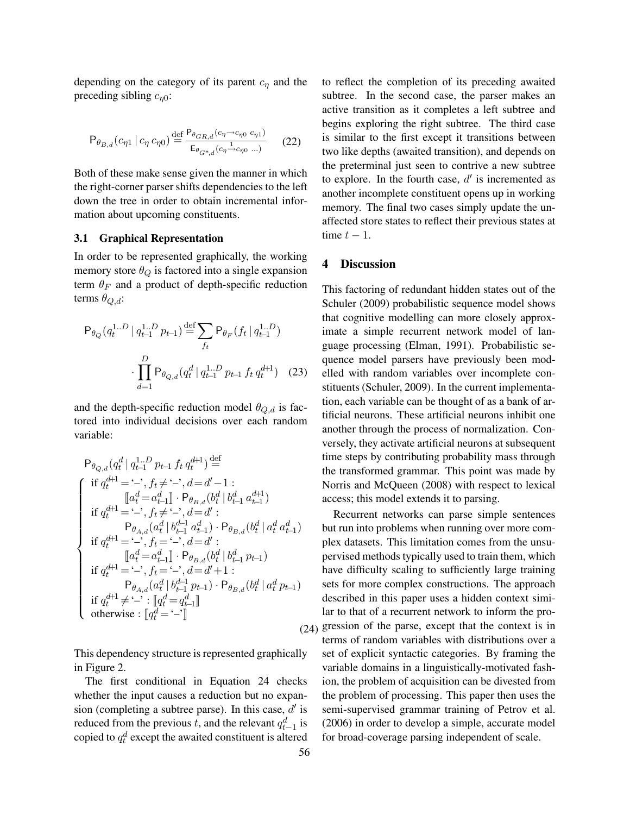depending on the category of its parent  $c_n$  and the preceding sibling  $c_{n0}$ :

$$
\mathsf{P}_{\theta_{B,d}}(c_{\eta 1} \mid c_{\eta} c_{\eta 0}) \stackrel{\text{def}}{=} \frac{\mathsf{P}_{\theta_{GR,d}}(c_{\eta} \to c_{\eta 0} c_{\eta 1})}{\mathsf{E}_{\theta_{G^*,d}}(c_{\eta} \to c_{\eta 0} \dots)} \tag{22}
$$

Both of these make sense given the manner in which the right-corner parser shifts dependencies to the left down the tree in order to obtain incremental information about upcoming constituents.

### **3.1 Graphical Representation**

In order to be represented graphically, the working memory store  $\theta_Q$  is factored into a single expansion term  $\theta_F$  and a product of depth-specific reduction terms  $\theta_{Q,d}$ :

$$
\mathsf{P}_{\theta_Q}(q_t^{1..D} \mid q_{t-1}^{1..D} p_{t-1}) \stackrel{\text{def}}{=} \sum_{f_t} \mathsf{P}_{\theta_F}(f_t \mid q_{t-1}^{1..D})
$$

$$
\cdot \prod_{d=1}^D \mathsf{P}_{\theta_{Q,d}}(q_t^d \mid q_{t-1}^{1..D} p_{t-1} f_t q_t^{d+1}) \quad (23)
$$

and the depth-specific reduction model  $\theta_{Q,d}$  is factored into individual decisions over each random variable:

$$
\begin{array}{l} \mathsf{P}_{\theta_{Q,d}}(q_t^d \mid q_{t-1}^{1..D} p_{t-1} \; f_t \; q_t^{d+1}) \stackrel{\text{def}}{=} \\ \left\{ \begin{array}{l} \text{if} \; q_t^{d+1} =`-, \; f_t \neq ` \text{--} ', \; d=d'-1: \\ \left[\!\!\!\begin{array}{c} [a_t^d = a_{t-1}^d \right] \cdot \mathsf{P}_{\theta_{B,d}}(b_t^d \mid b_{t-1}^d \; a_{t-1}^{d+1}) \\ \text{if} \; q_t^{d+1} = ` \text{--} ', \; f_t \neq ` \text{--} ', \; d=d': \\ \mathsf{P}_{\theta_{A,d}}(a_t^d \mid b_{t-1}^{d-1} \; a_{t-1}^d) \cdot \mathsf{P}_{\theta_{B,d}}(b_t^d \mid a_t^d \; a_{t-1}^d) \\ \text{if} \; q_t^{d+1} = ` \text{--} ', \; f_t = ` \text{--} ', \; d=d': \\ \left[\!\!\!\begin{array}{c} [a_t^d = a_{t-1}^d \end{array}\!\!\right] \cdot \mathsf{P}_{\theta_{B,d}}(b_t^d \mid b_{t-1}^d \; p_{t-1}) \\ \text{if} \; q_t^{d+1} = ` \text{--} ', \; f_t = ` \text{--} ', \; d=d'+1: \\ \mathsf{P}_{\theta_{A,d}}(a_t^d \mid b_{t-1}^{d-1} \; p_{t-1}) \cdot \mathsf{P}_{\theta_{B,d}}(b_t^d \mid a_t^d \; p_{t-1}) \\ \text{if} \; q_t^{d+1} \neq ` \text{--}': \left[\!\!\!\!\begin{array}{c} [q_t^d = q_{t-1}^d \end{array}\!\!\right] \\ \text{otherwise}: \; \left[\!\!\!\begin{array}{c} [q_t^d = ` \text{--}'] \end{array}\!\!\right] \end{array}
$$

This dependency structure is represented graphically in Figure 2.

The first conditional in Equation 24 checks whether the input causes a reduction but no expansion (completing a subtree parse). In this case,  $d'$  is reduced from the previous t, and the relevant  $q_{t-1}^d$  is copied to  $q_t^d$  except the awaited constituent is altered

to reflect the completion of its preceding awaited subtree. In the second case, the parser makes an active transition as it completes a left subtree and begins exploring the right subtree. The third case is similar to the first except it transitions between two like depths (awaited transition), and depends on the preterminal just seen to contrive a new subtree to explore. In the fourth case,  $d'$  is incremented as another incomplete constituent opens up in working memory. The final two cases simply update the unaffected store states to reflect their previous states at time  $t - 1$ .

#### **4 Discussion**

This factoring of redundant hidden states out of the Schuler (2009) probabilistic sequence model shows that cognitive modelling can more closely approximate a simple recurrent network model of language processing (Elman, 1991). Probabilistic sequence model parsers have previously been modelled with random variables over incomplete constituents (Schuler, 2009). In the current implementation, each variable can be thought of as a bank of artificial neurons. These artificial neurons inhibit one another through the process of normalization. Conversely, they activate artificial neurons at subsequent time steps by contributing probability mass through the transformed grammar. This point was made by Norris and McQueen (2008) with respect to lexical access; this model extends it to parsing.

(24) gression of the parse, except that the context is in Recurrent networks can parse simple sentences but run into problems when running over more complex datasets. This limitation comes from the unsupervised methods typically used to train them, which have difficulty scaling to sufficiently large training sets for more complex constructions. The approach described in this paper uses a hidden context similar to that of a recurrent network to inform the proterms of random variables with distributions over a set of explicit syntactic categories. By framing the variable domains in a linguistically-motivated fashion, the problem of acquisition can be divested from the problem of processing. This paper then uses the semi-supervised grammar training of Petrov et al. (2006) in order to develop a simple, accurate model for broad-coverage parsing independent of scale.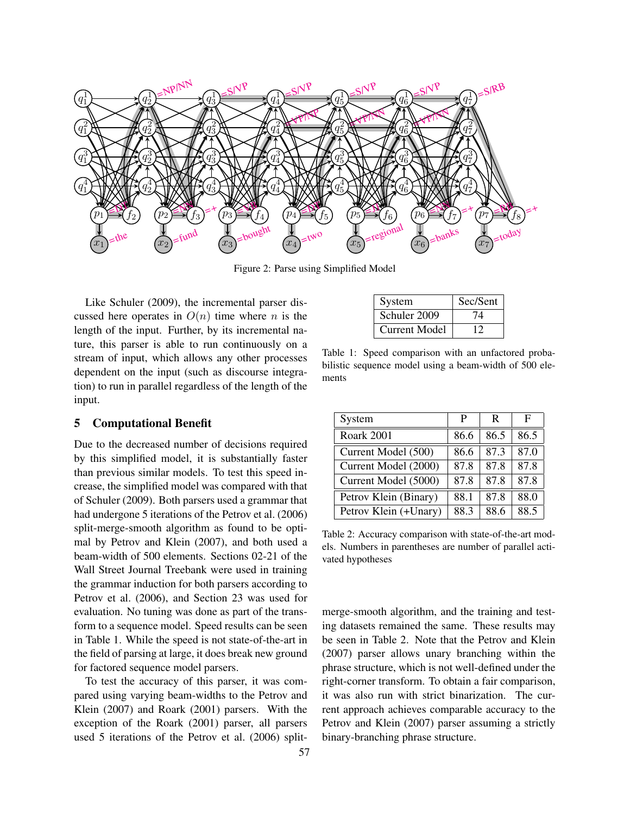

Figure 2: Parse using Simplified Model

Like Schuler (2009), the incremental parser discussed here operates in  $O(n)$  time where n is the length of the input. Further, by its incremental nature, this parser is able to run continuously on a stream of input, which allows any other processes dependent on the input (such as discourse integration) to run in parallel regardless of the length of the input.

# **5 Computational Benefit**

Due to the decreased number of decisions required by this simplified model, it is substantially faster than previous similar models. To test this speed increase, the simplified model was compared with that of Schuler (2009). Both parsers used a grammar that had undergone 5 iterations of the Petrov et al. (2006) split-merge-smooth algorithm as found to be optimal by Petrov and Klein (2007), and both used a beam-width of 500 elements. Sections 02-21 of the Wall Street Journal Treebank were used in training the grammar induction for both parsers according to Petrov et al. (2006), and Section 23 was used for evaluation. No tuning was done as part of the transform to a sequence model. Speed results can be seen in Table 1. While the speed is not state-of-the-art in the field of parsing at large, it does break new ground for factored sequence model parsers.

To test the accuracy of this parser, it was compared using varying beam-widths to the Petrov and Klein (2007) and Roark (2001) parsers. With the exception of the Roark (2001) parser, all parsers used 5 iterations of the Petrov et al. (2006) split-

| System        | Sec/Sent |
|---------------|----------|
| Schuler 2009  | 74       |
| Current Model |          |

Table 1: Speed comparison with an unfactored probabilistic sequence model using a beam-width of 500 elements

| System                | P    | R    | F    |
|-----------------------|------|------|------|
| Roark 2001            | 86.6 | 86.5 | 86.5 |
| Current Model (500)   | 86.6 | 87.3 | 87.0 |
| Current Model (2000)  | 87.8 | 87.8 | 87.8 |
| Current Model (5000)  | 87.8 | 87.8 | 87.8 |
| Petrov Klein (Binary) | 88.1 | 87.8 | 88.0 |
| Petrov Klein (+Unary) | 88.3 | 88.6 | 88.5 |

Table 2: Accuracy comparison with state-of-the-art models. Numbers in parentheses are number of parallel activated hypotheses

merge-smooth algorithm, and the training and testing datasets remained the same. These results may be seen in Table 2. Note that the Petrov and Klein (2007) parser allows unary branching within the phrase structure, which is not well-defined under the right-corner transform. To obtain a fair comparison, it was also run with strict binarization. The current approach achieves comparable accuracy to the Petrov and Klein (2007) parser assuming a strictly binary-branching phrase structure.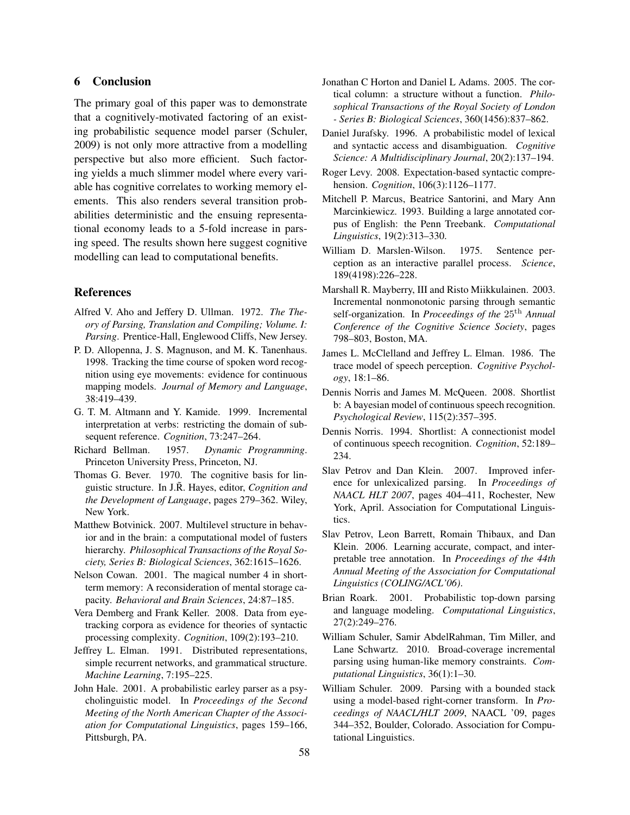### **6 Conclusion**

The primary goal of this paper was to demonstrate that a cognitively-motivated factoring of an existing probabilistic sequence model parser (Schuler, 2009) is not only more attractive from a modelling perspective but also more efficient. Such factoring yields a much slimmer model where every variable has cognitive correlates to working memory elements. This also renders several transition probabilities deterministic and the ensuing representational economy leads to a 5-fold increase in parsing speed. The results shown here suggest cognitive modelling can lead to computational benefits.

#### **References**

- Alfred V. Aho and Jeffery D. Ullman. 1972. *The Theory of Parsing, Translation and Compiling; Volume. I: Parsing*. Prentice-Hall, Englewood Cliffs, New Jersey.
- P. D. Allopenna, J. S. Magnuson, and M. K. Tanenhaus. 1998. Tracking the time course of spoken word recognition using eye movements: evidence for continuous mapping models. *Journal of Memory and Language*, 38:419–439.
- G. T. M. Altmann and Y. Kamide. 1999. Incremental interpretation at verbs: restricting the domain of subsequent reference. *Cognition*, 73:247–264.
- Richard Bellman. 1957. *Dynamic Programming*. Princeton University Press, Princeton, NJ.
- Thomas G. Bever. 1970. The cognitive basis for linguistic structure. In J.R. Hayes, editor, *Cognition and the Development of Language*, pages 279–362. Wiley, New York.
- Matthew Botvinick. 2007. Multilevel structure in behavior and in the brain: a computational model of fusters hierarchy. *Philosophical Transactions of the Royal Society, Series B: Biological Sciences*, 362:1615–1626.
- Nelson Cowan. 2001. The magical number 4 in shortterm memory: A reconsideration of mental storage capacity. *Behavioral and Brain Sciences*, 24:87–185.
- Vera Demberg and Frank Keller. 2008. Data from eyetracking corpora as evidence for theories of syntactic processing complexity. *Cognition*, 109(2):193–210.
- Jeffrey L. Elman. 1991. Distributed representations, simple recurrent networks, and grammatical structure. *Machine Learning*, 7:195–225.
- John Hale. 2001. A probabilistic earley parser as a psycholinguistic model. In *Proceedings of the Second Meeting of the North American Chapter of the Association for Computational Linguistics*, pages 159–166, Pittsburgh, PA.
- Jonathan C Horton and Daniel L Adams. 2005. The cortical column: a structure without a function. *Philosophical Transactions of the Royal Society of London - Series B: Biological Sciences*, 360(1456):837–862.
- Daniel Jurafsky. 1996. A probabilistic model of lexical and syntactic access and disambiguation. *Cognitive Science: A Multidisciplinary Journal*, 20(2):137–194.
- Roger Levy. 2008. Expectation-based syntactic comprehension. *Cognition*, 106(3):1126–1177.
- Mitchell P. Marcus, Beatrice Santorini, and Mary Ann Marcinkiewicz. 1993. Building a large annotated corpus of English: the Penn Treebank. *Computational Linguistics*, 19(2):313–330.
- William D. Marslen-Wilson. 1975. Sentence perception as an interactive parallel process. *Science*, 189(4198):226–228.
- Marshall R. Mayberry, III and Risto Miikkulainen. 2003. Incremental nonmonotonic parsing through semantic self-organization. In *Proceedings of the* 25th *Annual Conference of the Cognitive Science Society*, pages 798–803, Boston, MA.
- James L. McClelland and Jeffrey L. Elman. 1986. The trace model of speech perception. *Cognitive Psychology*, 18:1–86.
- Dennis Norris and James M. McQueen. 2008. Shortlist b: A bayesian model of continuous speech recognition. *Psychological Review*, 115(2):357–395.
- Dennis Norris. 1994. Shortlist: A connectionist model of continuous speech recognition. *Cognition*, 52:189– 234.
- Slav Petrov and Dan Klein. 2007. Improved inference for unlexicalized parsing. In *Proceedings of NAACL HLT 2007*, pages 404–411, Rochester, New York, April. Association for Computational Linguistics.
- Slav Petrov, Leon Barrett, Romain Thibaux, and Dan Klein. 2006. Learning accurate, compact, and interpretable tree annotation. In *Proceedings of the 44th Annual Meeting of the Association for Computational Linguistics (COLING/ACL'06)*.
- Brian Roark. 2001. Probabilistic top-down parsing and language modeling. *Computational Linguistics*, 27(2):249–276.
- William Schuler, Samir AbdelRahman, Tim Miller, and Lane Schwartz. 2010. Broad-coverage incremental parsing using human-like memory constraints. *Computational Linguistics*, 36(1):1–30.
- William Schuler. 2009. Parsing with a bounded stack using a model-based right-corner transform. In *Proceedings of NAACL/HLT 2009*, NAACL '09, pages 344–352, Boulder, Colorado. Association for Computational Linguistics.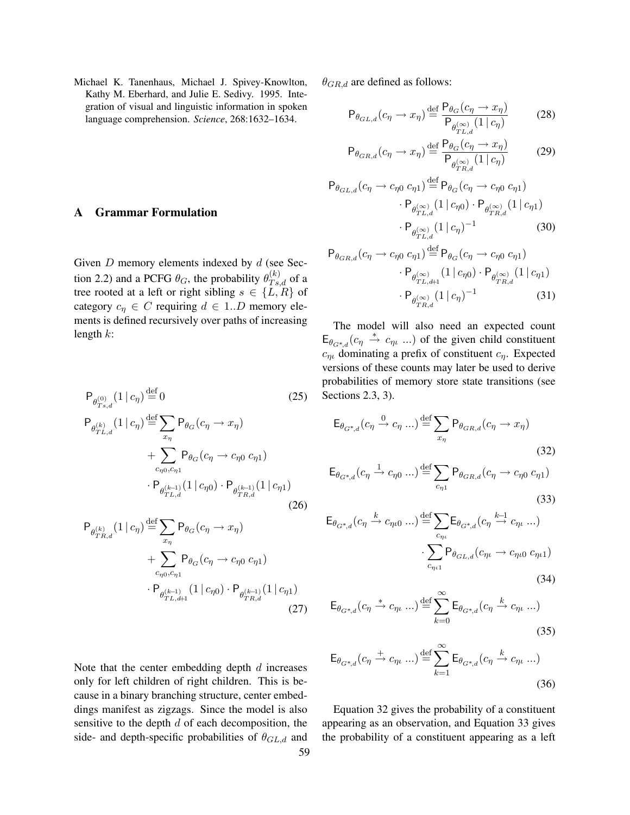Michael K. Tanenhaus, Michael J. Spivey-Knowlton, Kathy M. Eberhard, and Julie E. Sedivy. 1995. Integration of visual and linguistic information in spoken language comprehension. *Science*, 268:1632–1634.

## **A Grammar Formulation**

Given  $D$  memory elements indexed by  $d$  (see Section 2.2) and a PCFG  $\theta_G$ , the probability  $\theta_{Ts,d}^{(k)}$  of a tree rooted at a left or right sibling  $s \in \{L, R\}$  of category  $c_n \in C$  requiring  $d \in 1..D$  memory elements is defined recursively over paths of increasing length  $k$ :

$$
P_{\theta_{Ts,d}^{(0)}}(1 | c_{\eta}) \stackrel{\text{def}}{=} 0
$$
\n
$$
P_{\theta_{TL,d}^{(k)}}(1 | c_{\eta}) \stackrel{\text{def}}{=} \sum_{x_{\eta}} P_{\theta_G}(c_{\eta} \to x_{\eta})
$$
\n
$$
+ \sum_{c_{\eta 0}, c_{\eta 1}} P_{\theta_G}(c_{\eta} \to c_{\eta 0} c_{\eta 1})
$$
\n
$$
\cdot P_{\theta_{TL,d}^{(k-1)}}(1 | c_{\eta 0}) \cdot P_{\theta_{TR,d}^{(k-1)}}(1 | c_{\eta 1})
$$
\n(26)

$$
P_{\theta_{TR,d}^{(k)}}(1 | c_{\eta}) \stackrel{\text{def}}{=} \sum_{x_{\eta}} P_{\theta_G}(c_{\eta} \to x_{\eta}) + \sum_{c_{\eta0}, c_{\eta1}} P_{\theta_G}(c_{\eta} \to c_{\eta0} c_{\eta1}) + P_{\theta_{TL,d+1}^{(k-1)}}(1 | c_{\eta0}) \cdot P_{\theta_{TR,d}^{(k-1)}}(1 | c_{\eta1})
$$
\n(27)

 $\theta_{GR,d}$  are defined as follows:

$$
\mathsf{P}_{\theta_{GL,d}}(c_{\eta} \to x_{\eta}) \stackrel{\text{def}}{=} \frac{\mathsf{P}_{\theta_G}(c_{\eta} \to x_{\eta})}{\mathsf{P}_{\theta_{TL,d}}(1 \mid c_{\eta})}
$$
(28)

$$
P_{\theta_{GR,d}}(c_{\eta} \to x_{\eta}) \stackrel{\text{def}}{=} \frac{P_{\theta_G}(c_{\eta} \to x_{\eta})}{P_{\theta_{TR,d}^{(\infty)}}(1 \mid c_{\eta})}
$$
(29)

$$
P_{\theta_{GL,d}}(c_{\eta} \to c_{\eta 0} c_{\eta 1}) \stackrel{\text{def}}{=} P_{\theta_G}(c_{\eta} \to c_{\eta 0} c_{\eta 1})
$$

$$
\cdot P_{\theta_{TL,d}^{(\infty)}}(1 \mid c_{\eta 0}) \cdot P_{\theta_{TR,d}^{(\infty)}}(1 \mid c_{\eta 1})
$$

$$
\cdot P_{\theta_{TL,d}^{(\infty)}}(1 \mid c_{\eta})^{-1} \tag{30}
$$

$$
\mathsf{P}_{\theta_{GR,d}}(c_{\eta} \to c_{\eta 0} c_{\eta 1}) \stackrel{\text{def}}{=} \mathsf{P}_{\theta_G}(c_{\eta} \to c_{\eta 0} c_{\eta 1})
$$
\n
$$
\cdot \mathsf{P}_{\theta_{TL,d+1}^{(\infty)}} (1 \, | \, c_{\eta 0}) \cdot \mathsf{P}_{\theta_{TR,d}^{(\infty)}} (1 \, | \, c_{\eta 1})
$$
\n
$$
\cdot \mathsf{P}_{\theta_{TR,d}^{(\infty)}} (1 \, | \, c_{\eta})^{-1} \tag{31}
$$

The model will also need an expected count  $E_{\theta_{G^*,d}}(c_{\eta} \stackrel{*}{\rightarrow} c_{\eta} \dots)$  of the given child constituent  $c_{n}$  dominating a prefix of constituent  $c_n$ . Expected versions of these counts may later be used to derive probabilities of memory store state transitions (see Sections 2.3, 3).

$$
\mathsf{E}_{\theta_{G^*,d}}(c_{\eta} \xrightarrow{0} c_{\eta} \dots) \stackrel{\text{def}}{=} \sum_{x_{\eta}} \mathsf{P}_{\theta_{GR,d}}(c_{\eta} \to x_{\eta})
$$
\n(32)

$$
\mathsf{E}_{\theta_{G^*,d}}(c_{\eta} \xrightarrow{1} c_{\eta 0} \dots) \stackrel{\text{def}}{=} \sum_{c_{\eta 1}} \mathsf{P}_{\theta_{GR,d}}(c_{\eta} \to c_{\eta 0} c_{\eta 1})
$$
\n(33)

$$
\mathsf{E}_{\theta_{G^*,d}}(c_{\eta} \xrightarrow{k} c_{\eta\iota 0} \dots) \stackrel{\text{def}}{=} \sum_{c_{\eta\iota}} \mathsf{E}_{\theta_{G^*,d}}(c_{\eta} \xrightarrow{k-1} c_{\eta\iota} \dots) \cdot \sum_{c_{\eta\iota 1}} \mathsf{P}_{\theta_{GL,d}}(c_{\eta\iota} \to c_{\eta\iota 0} c_{\eta\iota 1})
$$
\n(34)

$$
\mathsf{E}_{\theta_{G^*,d}}(c_{\eta} \xrightarrow{*} c_{\eta\iota} \dots) \stackrel{\text{def}}{=} \sum_{k=0}^{\infty} \mathsf{E}_{\theta_{G^*,d}}(c_{\eta} \xrightarrow{k} c_{\eta\iota} \dots)
$$
\n(35)

$$
\mathsf{E}_{\theta_{G^*,d}}(c_{\eta} \xrightarrow{+} c_{\eta\iota} \dots) \stackrel{\text{def}}{=} \sum_{k=1}^{\infty} \mathsf{E}_{\theta_{G^*,d}}(c_{\eta} \xrightarrow{k} c_{\eta\iota} \dots)
$$
\n(36)

Note that the center embedding depth  $d$  increases only for left children of right children. This is because in a binary branching structure, center embeddings manifest as zigzags. Since the model is also sensitive to the depth  $d$  of each decomposition, the side- and depth-specific probabilities of  $\theta_{GL,d}$  and

Equation 32 gives the probability of a constituent appearing as an observation, and Equation 33 gives the probability of a constituent appearing as a left